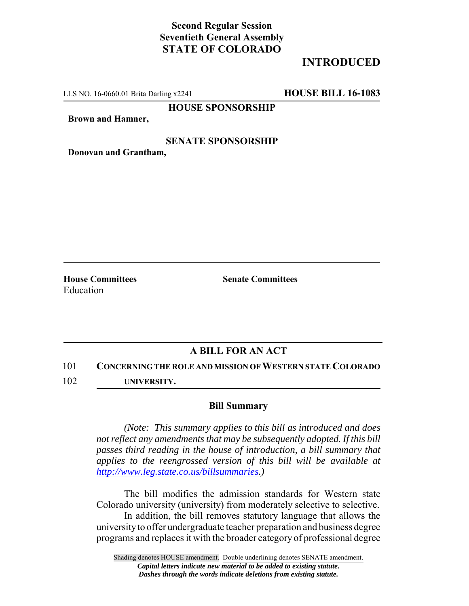## **Second Regular Session Seventieth General Assembly STATE OF COLORADO**

# **INTRODUCED**

LLS NO. 16-0660.01 Brita Darling x2241 **HOUSE BILL 16-1083**

**HOUSE SPONSORSHIP**

**Brown and Hamner,**

#### **SENATE SPONSORSHIP**

**Donovan and Grantham,**

**House Committees Senate Committees** Education

### **A BILL FOR AN ACT**

101 **CONCERNING THE ROLE AND MISSION OF WESTERN STATE COLORADO**

102 **UNIVERSITY.**

#### **Bill Summary**

*(Note: This summary applies to this bill as introduced and does not reflect any amendments that may be subsequently adopted. If this bill passes third reading in the house of introduction, a bill summary that applies to the reengrossed version of this bill will be available at http://www.leg.state.co.us/billsummaries.)*

The bill modifies the admission standards for Western state Colorado university (university) from moderately selective to selective.

In addition, the bill removes statutory language that allows the university to offer undergraduate teacher preparation and business degree programs and replaces it with the broader category of professional degree